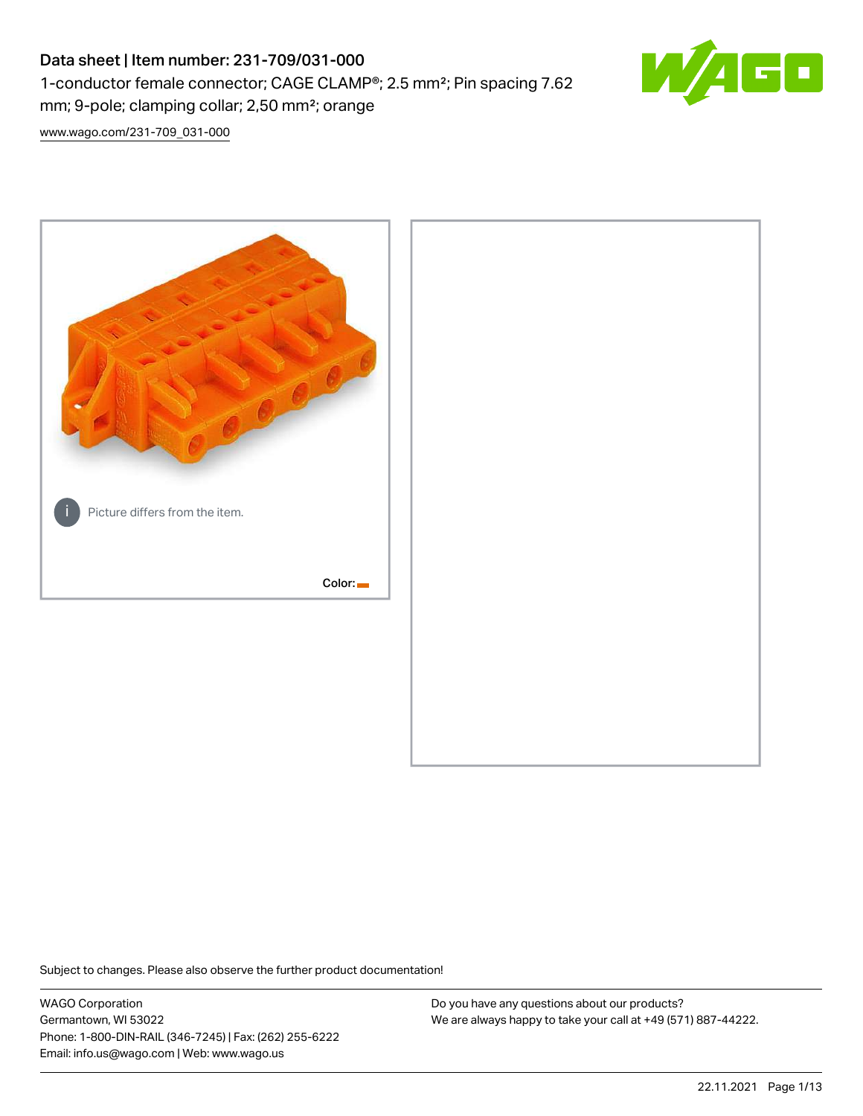# Data sheet | Item number: 231-709/031-000 1-conductor female connector; CAGE CLAMP®; 2.5 mm²; Pin spacing 7.62 mm; 9-pole; clamping collar; 2,50 mm²; orange



[www.wago.com/231-709\\_031-000](http://www.wago.com/231-709_031-000)



Subject to changes. Please also observe the further product documentation!

WAGO Corporation Germantown, WI 53022 Phone: 1-800-DIN-RAIL (346-7245) | Fax: (262) 255-6222 Email: info.us@wago.com | Web: www.wago.us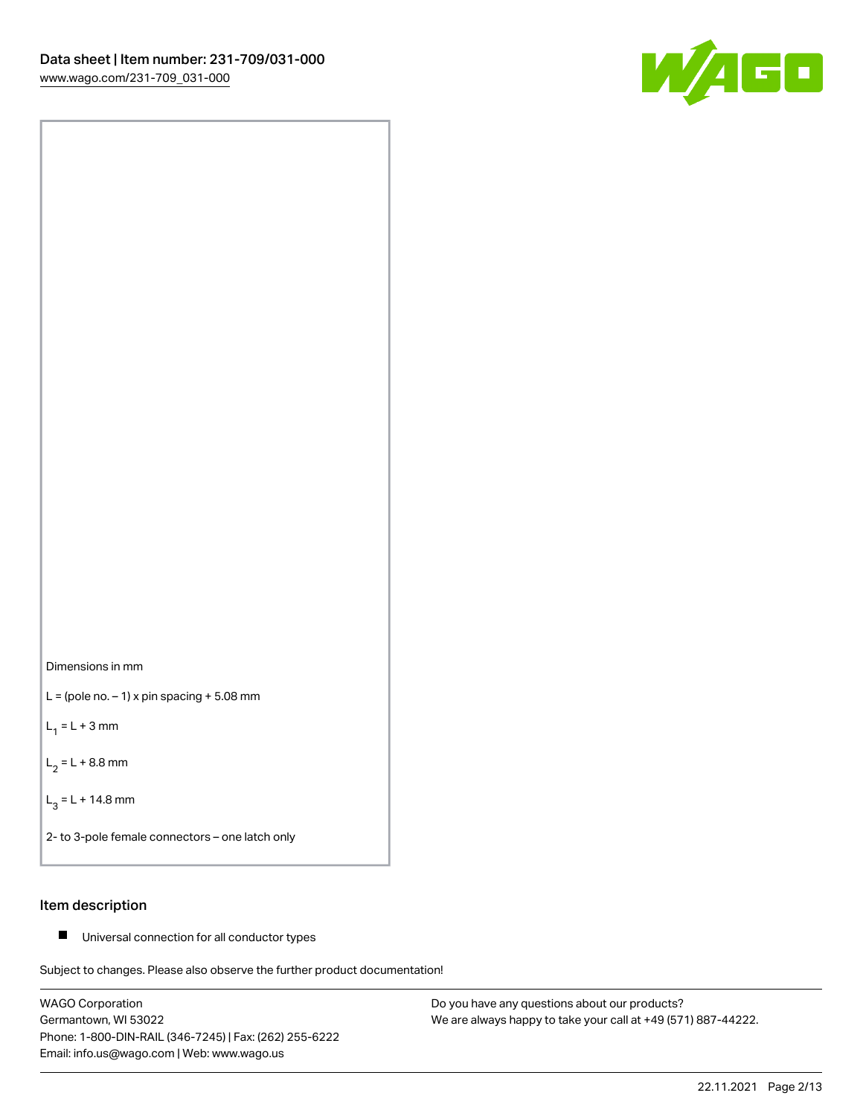



 $L =$  (pole no.  $-1$ ) x pin spacing  $+5.08$  mm

 $L_1 = L + 3$  mm

 $L_2 = L + 8.8$  mm

 $L_3 = L + 14.8$  mm

2- to 3-pole female connectors – one latch only

# Item description

■ Universal connection for all conductor types

Subject to changes. Please also observe the further product documentation!

WAGO Corporation Germantown, WI 53022 Phone: 1-800-DIN-RAIL (346-7245) | Fax: (262) 255-6222 Email: info.us@wago.com | Web: www.wago.us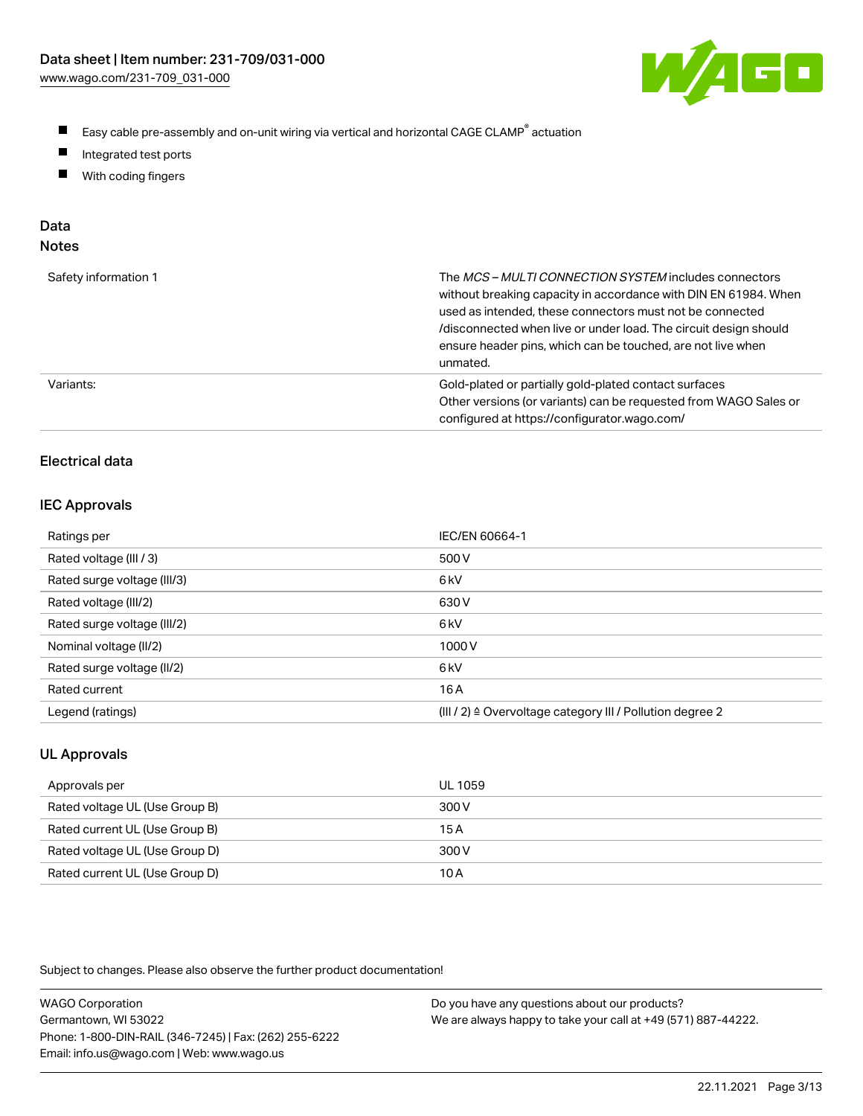

- $\blacksquare$ Easy cable pre-assembly and on-unit wiring via vertical and horizontal CAGE CLAMP<sup>®</sup> actuation
- $\blacksquare$ Integrated test ports
- $\blacksquare$ With coding fingers

# Data

| Safety information 1 | The MCS-MULTI CONNECTION SYSTEM includes connectors<br>without breaking capacity in accordance with DIN EN 61984. When<br>used as intended, these connectors must not be connected<br>/disconnected when live or under load. The circuit design should<br>ensure header pins, which can be touched, are not live when<br>unmated. |
|----------------------|-----------------------------------------------------------------------------------------------------------------------------------------------------------------------------------------------------------------------------------------------------------------------------------------------------------------------------------|
| Variants:            | Gold-plated or partially gold-plated contact surfaces<br>Other versions (or variants) can be requested from WAGO Sales or<br>configured at https://configurator.wago.com/                                                                                                                                                         |

# Electrical data

## IEC Approvals

| Ratings per                 | IEC/EN 60664-1                                                        |
|-----------------------------|-----------------------------------------------------------------------|
| Rated voltage (III / 3)     | 500 V                                                                 |
| Rated surge voltage (III/3) | 6 <sub>k</sub> V                                                      |
| Rated voltage (III/2)       | 630 V                                                                 |
| Rated surge voltage (III/2) | 6 <sub>k</sub> V                                                      |
| Nominal voltage (II/2)      | 1000V                                                                 |
| Rated surge voltage (II/2)  | 6 <sub>k</sub> V                                                      |
| Rated current               | 16 A                                                                  |
| Legend (ratings)            | $(III / 2)$ $\triangle$ Overvoltage category III / Pollution degree 2 |

# UL Approvals

| Approvals per                  | UL 1059 |
|--------------------------------|---------|
| Rated voltage UL (Use Group B) | 300 V   |
| Rated current UL (Use Group B) | 15 A    |
| Rated voltage UL (Use Group D) | 300 V   |
| Rated current UL (Use Group D) | 10 A    |

| <b>WAGO Corporation</b>                                | Do you have any questions about our products?                 |
|--------------------------------------------------------|---------------------------------------------------------------|
| Germantown, WI 53022                                   | We are always happy to take your call at +49 (571) 887-44222. |
| Phone: 1-800-DIN-RAIL (346-7245)   Fax: (262) 255-6222 |                                                               |
| Email: info.us@wago.com   Web: www.wago.us             |                                                               |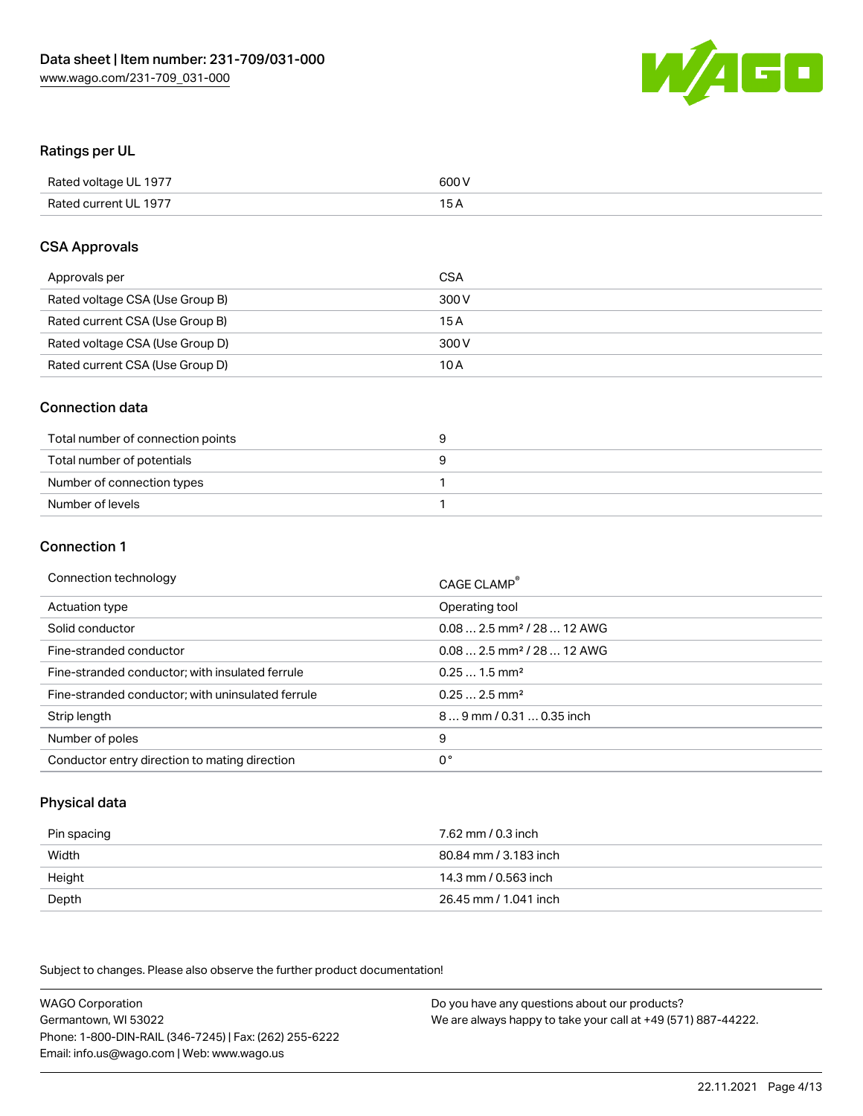

# Ratings per UL

| Rated voltage UL 1977 | 600 V |
|-----------------------|-------|
| Rated current UL 1977 | 1 E   |

# CSA Approvals

| Approvals per                   | CSA   |
|---------------------------------|-------|
| Rated voltage CSA (Use Group B) | 300 V |
| Rated current CSA (Use Group B) | 15 A  |
| Rated voltage CSA (Use Group D) | 300 V |
| Rated current CSA (Use Group D) | 10 A  |

# Connection data

| Total number of connection points |  |
|-----------------------------------|--|
| Total number of potentials        |  |
| Number of connection types        |  |
| Number of levels                  |  |

#### Connection 1

| Connection technology                             | CAGE CLAMP <sup>®</sup>                 |
|---------------------------------------------------|-----------------------------------------|
| Actuation type                                    | Operating tool                          |
| Solid conductor                                   | $0.08$ 2.5 mm <sup>2</sup> / 28  12 AWG |
| Fine-stranded conductor                           | $0.082.5$ mm <sup>2</sup> / 28  12 AWG  |
| Fine-stranded conductor; with insulated ferrule   | $0.251.5$ mm <sup>2</sup>               |
| Fine-stranded conductor; with uninsulated ferrule | $0.252.5$ mm <sup>2</sup>               |
| Strip length                                      | 89 mm / 0.31  0.35 inch                 |
| Number of poles                                   | 9                                       |
| Conductor entry direction to mating direction     | 0°                                      |

# Physical data

| Pin spacing | 7.62 mm / 0.3 inch    |
|-------------|-----------------------|
| Width       | 80.84 mm / 3.183 inch |
| Height      | 14.3 mm / 0.563 inch  |
| Depth       | 26.45 mm / 1.041 inch |

Subject to changes. Please also observe the further product documentation!

WAGO Corporation Germantown, WI 53022 Phone: 1-800-DIN-RAIL (346-7245) | Fax: (262) 255-6222 Email: info.us@wago.com | Web: www.wago.us Do you have any questions about our products? We are always happy to take your call at +49 (571) 887-44222.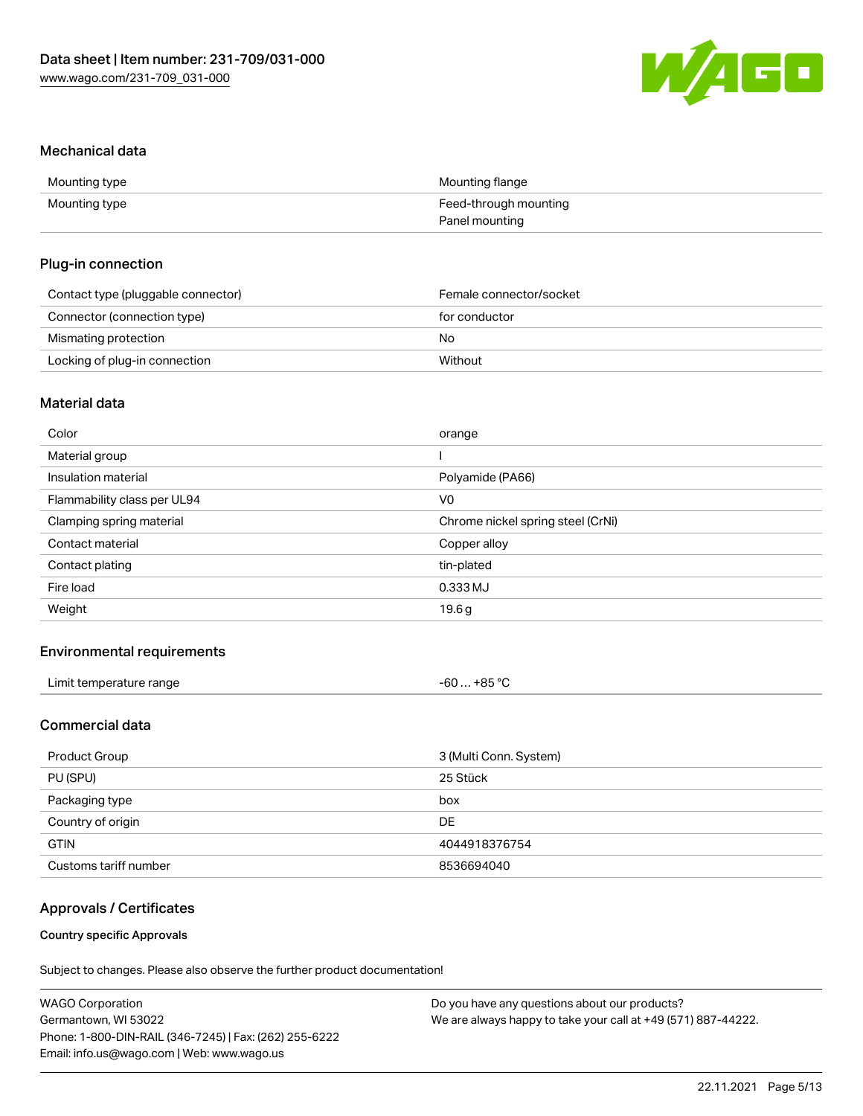

## Mechanical data

| Mounting type | Mounting flange       |
|---------------|-----------------------|
| Mounting type | Feed-through mounting |
|               | Panel mounting        |

# Plug-in connection

| Contact type (pluggable connector) | Female connector/socket |
|------------------------------------|-------------------------|
| Connector (connection type)        | for conductor           |
| Mismating protection               | No                      |
| Locking of plug-in connection      | Without                 |

# Material data

| Color                       | orange                            |
|-----------------------------|-----------------------------------|
| Material group              |                                   |
| Insulation material         | Polyamide (PA66)                  |
| Flammability class per UL94 | V <sub>0</sub>                    |
| Clamping spring material    | Chrome nickel spring steel (CrNi) |
| Contact material            | Copper alloy                      |
| Contact plating             | tin-plated                        |
| Fire load                   | 0.333 MJ                          |
| Weight                      | 19.6g                             |
|                             |                                   |

# Environmental requirements

| Limit temperature range<br>. | $-60+85 °C$ |  |
|------------------------------|-------------|--|
|------------------------------|-------------|--|

# Commercial data

| Product Group         | 3 (Multi Conn. System) |
|-----------------------|------------------------|
| PU (SPU)              | 25 Stück               |
| Packaging type        | box                    |
| Country of origin     | DE                     |
| <b>GTIN</b>           | 4044918376754          |
| Customs tariff number | 8536694040             |

# Approvals / Certificates

## Country specific Approvals

| <b>WAGO Corporation</b>                                | Do you have any questions about our products?                 |
|--------------------------------------------------------|---------------------------------------------------------------|
| Germantown, WI 53022                                   | We are always happy to take your call at +49 (571) 887-44222. |
| Phone: 1-800-DIN-RAIL (346-7245)   Fax: (262) 255-6222 |                                                               |
| Email: info.us@wago.com   Web: www.wago.us             |                                                               |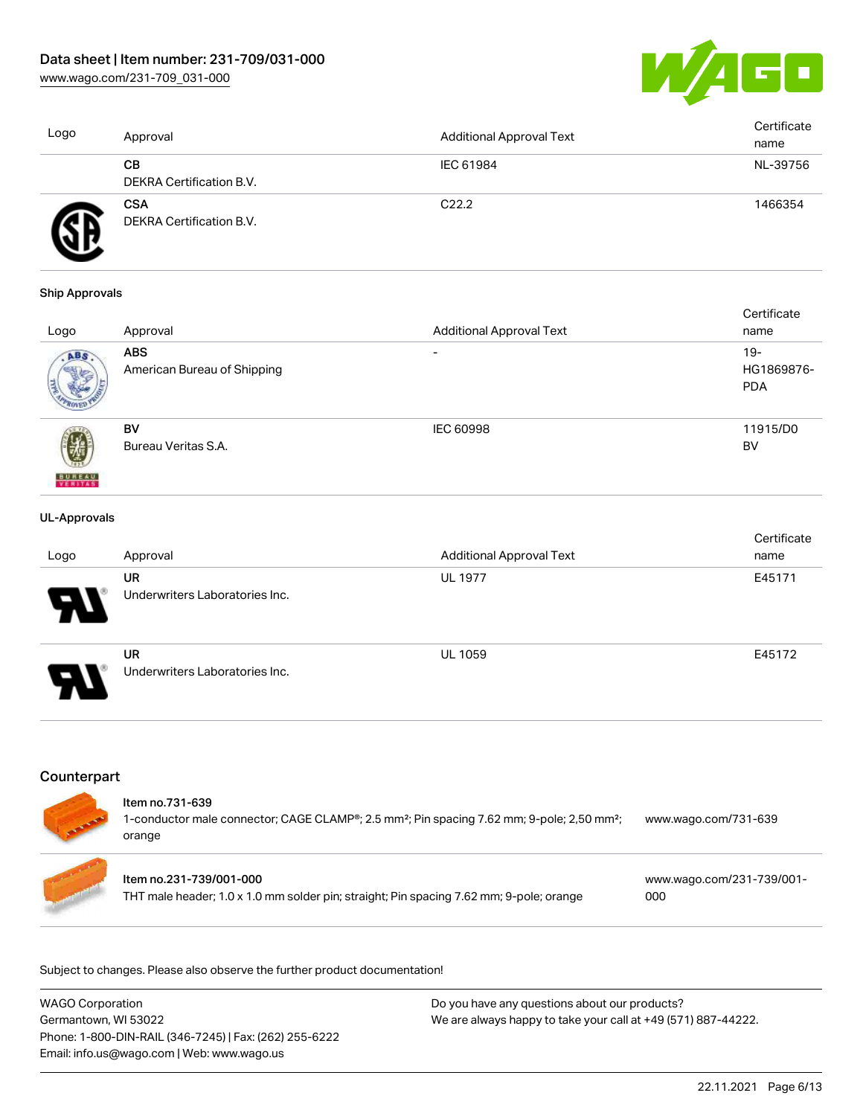[www.wago.com/231-709\\_031-000](http://www.wago.com/231-709_031-000)



| Logo | Approval                               | <b>Additional Approval Text</b> | Certificate<br>name |
|------|----------------------------------------|---------------------------------|---------------------|
|      | CВ<br>DEKRA Certification B.V.         | IEC 61984                       | NL-39756            |
|      | <b>CSA</b><br>DEKRA Certification B.V. | C <sub>22.2</sub>               | 1466354             |

#### Ship Approvals

|                          |                             |                                 | Certificate |
|--------------------------|-----------------------------|---------------------------------|-------------|
| Logo                     | Approval                    | <b>Additional Approval Text</b> | name        |
| ABS.                     | <b>ABS</b>                  | $\overline{\phantom{0}}$        | $19-$       |
|                          | American Bureau of Shipping |                                 | HG1869876-  |
|                          |                             |                                 | <b>PDA</b>  |
|                          |                             |                                 |             |
|                          | BV                          | <b>IEC 60998</b>                | 11915/D0    |
|                          | Bureau Veritas S.A.         |                                 | BV          |
|                          |                             |                                 |             |
| <b>BUREAU</b><br>VERITAS |                             |                                 |             |

#### UL-Approvals

| Logo                  | Approval                                    | <b>Additional Approval Text</b> | Certificate<br>name |
|-----------------------|---------------------------------------------|---------------------------------|---------------------|
| 8                     | <b>UR</b><br>Underwriters Laboratories Inc. | <b>UL 1977</b>                  | E45171              |
| $\boldsymbol{\theta}$ | <b>UR</b><br>Underwriters Laboratories Inc. | <b>UL 1059</b>                  | E45172              |

# **Counterpart**

| Item no.731-639<br>1-conductor male connector; CAGE CLAMP <sup>®</sup> ; 2.5 mm <sup>2</sup> ; Pin spacing 7.62 mm; 9-pole; 2,50 mm <sup>2</sup> ;<br>orange | www.wago.com/731-639             |
|--------------------------------------------------------------------------------------------------------------------------------------------------------------|----------------------------------|
| Item no.231-739/001-000<br>THT male header; 1.0 x 1.0 mm solder pin; straight; Pin spacing 7.62 mm; 9-pole; orange                                           | www.wago.com/231-739/001-<br>000 |

| <b>WAGO Corporation</b>                                | Do you have any questions about our products?                 |
|--------------------------------------------------------|---------------------------------------------------------------|
| Germantown, WI 53022                                   | We are always happy to take your call at +49 (571) 887-44222. |
| Phone: 1-800-DIN-RAIL (346-7245)   Fax: (262) 255-6222 |                                                               |
| Email: info.us@wago.com   Web: www.wago.us             |                                                               |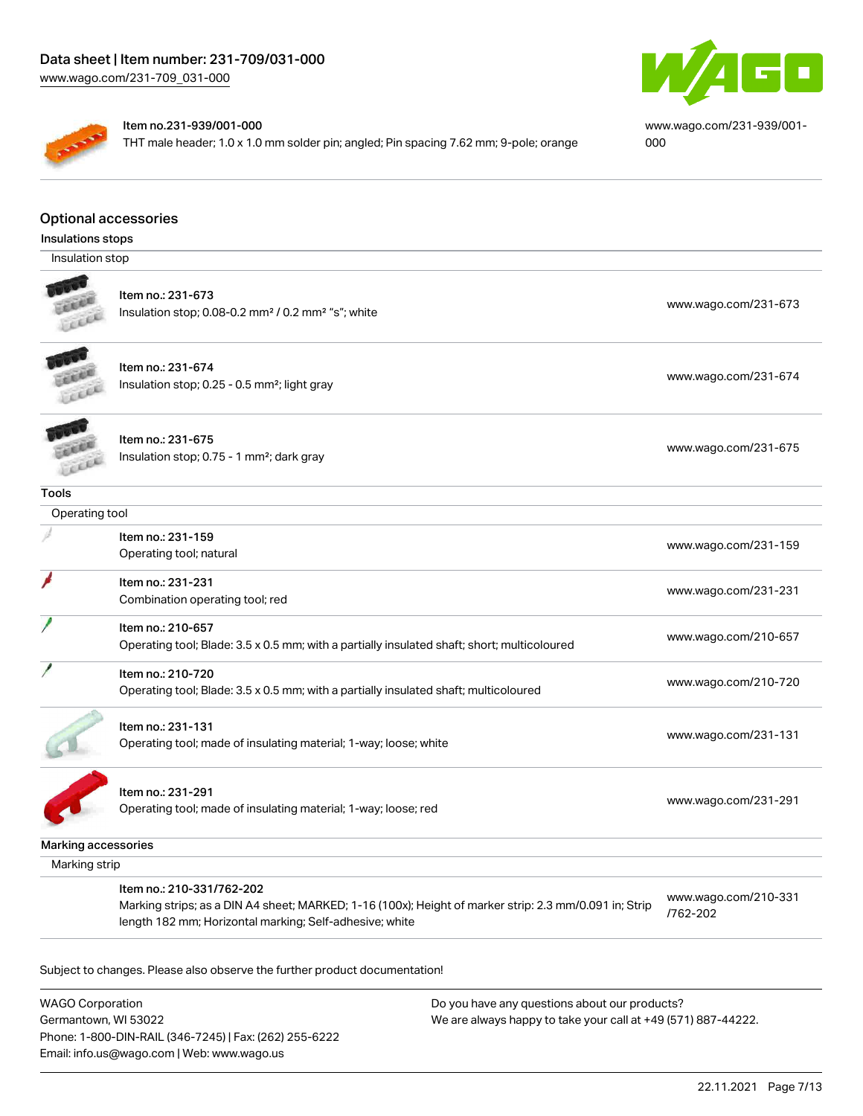

#### Item no.231-939/001-000

THT male header; 1.0 x 1.0 mm solder pin; angled; Pin spacing 7.62 mm; 9-pole; orange



[www.wago.com/231-939/001-](https://www.wago.com/231-939/001-000) [000](https://www.wago.com/231-939/001-000)

#### Optional accessories

| Insulations stops   |                                                                                                                                                                                                |                                  |
|---------------------|------------------------------------------------------------------------------------------------------------------------------------------------------------------------------------------------|----------------------------------|
| Insulation stop     |                                                                                                                                                                                                |                                  |
|                     | Item no.: 231-673<br>Insulation stop; 0.08-0.2 mm <sup>2</sup> / 0.2 mm <sup>2</sup> "s"; white                                                                                                | www.wago.com/231-673             |
|                     | Item no.: 231-674<br>Insulation stop; 0.25 - 0.5 mm <sup>2</sup> ; light gray                                                                                                                  | www.wago.com/231-674             |
|                     | Item no.: 231-675<br>Insulation stop; 0.75 - 1 mm <sup>2</sup> ; dark gray                                                                                                                     | www.wago.com/231-675             |
| <b>Tools</b>        |                                                                                                                                                                                                |                                  |
| Operating tool      |                                                                                                                                                                                                |                                  |
|                     | Item no.: 231-159<br>Operating tool; natural                                                                                                                                                   | www.wago.com/231-159             |
|                     | Item no.: 231-231<br>Combination operating tool; red                                                                                                                                           | www.wago.com/231-231             |
|                     | Item no.: 210-657<br>Operating tool; Blade: 3.5 x 0.5 mm; with a partially insulated shaft; short; multicoloured                                                                               | www.wago.com/210-657             |
|                     | Item no.: 210-720<br>Operating tool; Blade: 3.5 x 0.5 mm; with a partially insulated shaft; multicoloured                                                                                      | www.wago.com/210-720             |
|                     | Item no.: 231-131<br>Operating tool; made of insulating material; 1-way; loose; white                                                                                                          | www.wago.com/231-131             |
|                     | Item no.: 231-291<br>Operating tool; made of insulating material; 1-way; loose; red                                                                                                            | www.wago.com/231-291             |
| Marking accessories |                                                                                                                                                                                                |                                  |
| Marking strip       |                                                                                                                                                                                                |                                  |
|                     | Item no.: 210-331/762-202<br>Marking strips; as a DIN A4 sheet; MARKED; 1-16 (100x); Height of marker strip: 2.3 mm/0.091 in; Strip<br>length 182 mm; Horizontal marking; Self-adhesive; white | www.wago.com/210-331<br>/762-202 |

Subject to changes. Please also observe the further product documentation!

WAGO Corporation Germantown, WI 53022 Phone: 1-800-DIN-RAIL (346-7245) | Fax: (262) 255-6222 Email: info.us@wago.com | Web: www.wago.us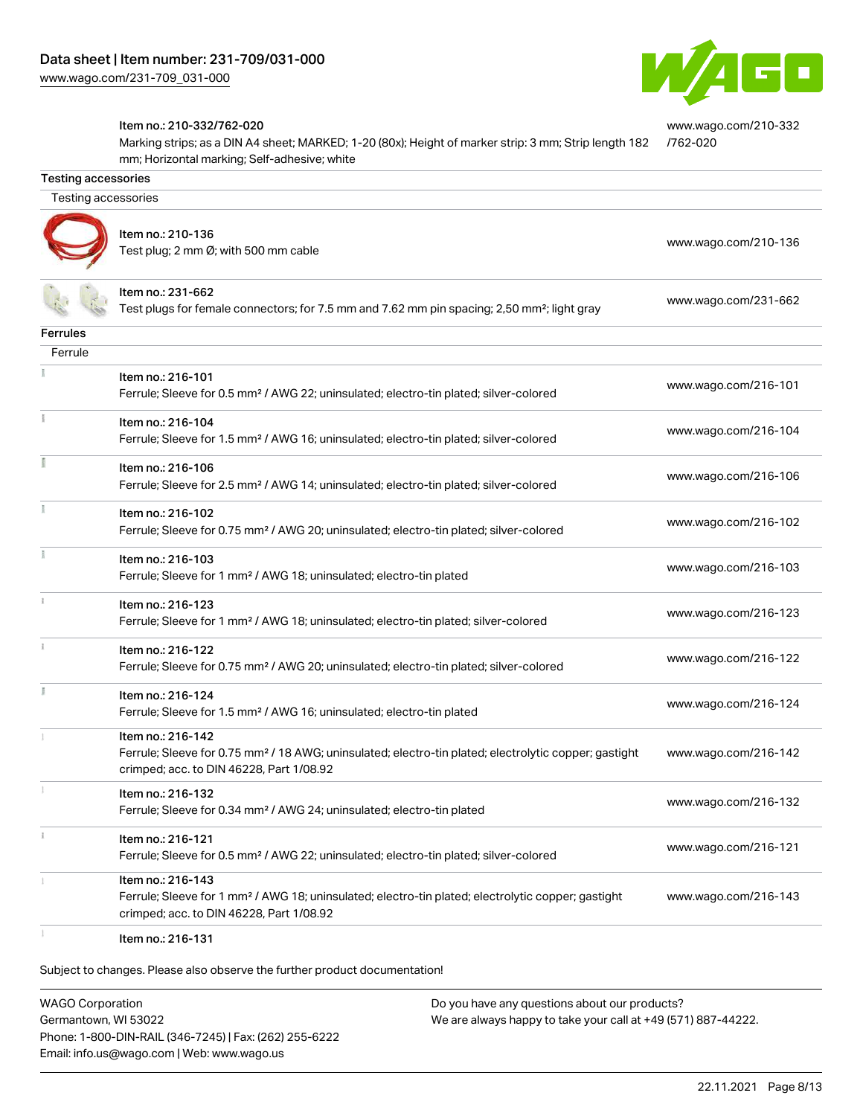

[www.wago.com/210-332](http://www.wago.com/210-332/762-020)

#### Item no.: 210-332/762-020

Marking strips; as a DIN A4 sheet; MARKED; 1-20 (80x); Height of marker strip: 3 mm; Strip length 182 mm; Horizontal marking; Self-adhesive; white [/762-020](http://www.wago.com/210-332/762-020)

| Testing accessories<br>Item no.: 210-136<br>www.wago.com/210-136<br>Test plug; 2 mm Ø; with 500 mm cable<br>Item no.: 231-662<br>www.wago.com/231-662<br>Test plugs for female connectors; for 7.5 mm and 7.62 mm pin spacing; 2,50 mm <sup>2</sup> ; light gray<br><b>Ferrules</b><br>Ferrule<br>Item no.: 216-101<br>www.wago.com/216-101<br>Ferrule; Sleeve for 0.5 mm <sup>2</sup> / AWG 22; uninsulated; electro-tin plated; silver-colored<br>Item no.: 216-104<br>www.wago.com/216-104<br>Ferrule; Sleeve for 1.5 mm <sup>2</sup> / AWG 16; uninsulated; electro-tin plated; silver-colored<br>Item no.: 216-106<br>www.wago.com/216-106<br>Ferrule; Sleeve for 2.5 mm <sup>2</sup> / AWG 14; uninsulated; electro-tin plated; silver-colored<br>Item no.: 216-102<br>www.wago.com/216-102<br>Ferrule; Sleeve for 0.75 mm <sup>2</sup> / AWG 20; uninsulated; electro-tin plated; silver-colored<br>Item no.: 216-103<br>www.wago.com/216-103<br>Ferrule; Sleeve for 1 mm <sup>2</sup> / AWG 18; uninsulated; electro-tin plated<br>Item no.: 216-123<br>www.wago.com/216-123<br>Ferrule; Sleeve for 1 mm <sup>2</sup> / AWG 18; uninsulated; electro-tin plated; silver-colored<br>Item no.: 216-122<br>www.wago.com/216-122<br>Ferrule; Sleeve for 0.75 mm <sup>2</sup> / AWG 20; uninsulated; electro-tin plated; silver-colored<br>Item no.: 216-124<br>www.wago.com/216-124<br>Ferrule; Sleeve for 1.5 mm <sup>2</sup> / AWG 16; uninsulated; electro-tin plated<br>Item no.: 216-142<br>Ferrule; Sleeve for 0.75 mm <sup>2</sup> / 18 AWG; uninsulated; electro-tin plated; electrolytic copper; gastight<br>www.wago.com/216-142<br>crimped; acc. to DIN 46228, Part 1/08.92<br>Item no.: 216-132<br>www.wago.com/216-132<br>Ferrule; Sleeve for 0.34 mm <sup>2</sup> / AWG 24; uninsulated; electro-tin plated | <b>Testing accessories</b> |  |
|-------------------------------------------------------------------------------------------------------------------------------------------------------------------------------------------------------------------------------------------------------------------------------------------------------------------------------------------------------------------------------------------------------------------------------------------------------------------------------------------------------------------------------------------------------------------------------------------------------------------------------------------------------------------------------------------------------------------------------------------------------------------------------------------------------------------------------------------------------------------------------------------------------------------------------------------------------------------------------------------------------------------------------------------------------------------------------------------------------------------------------------------------------------------------------------------------------------------------------------------------------------------------------------------------------------------------------------------------------------------------------------------------------------------------------------------------------------------------------------------------------------------------------------------------------------------------------------------------------------------------------------------------------------------------------------------------------------------------------------------------------------------------------------------------------------------------------|----------------------------|--|
|                                                                                                                                                                                                                                                                                                                                                                                                                                                                                                                                                                                                                                                                                                                                                                                                                                                                                                                                                                                                                                                                                                                                                                                                                                                                                                                                                                                                                                                                                                                                                                                                                                                                                                                                                                                                                               |                            |  |
|                                                                                                                                                                                                                                                                                                                                                                                                                                                                                                                                                                                                                                                                                                                                                                                                                                                                                                                                                                                                                                                                                                                                                                                                                                                                                                                                                                                                                                                                                                                                                                                                                                                                                                                                                                                                                               |                            |  |
|                                                                                                                                                                                                                                                                                                                                                                                                                                                                                                                                                                                                                                                                                                                                                                                                                                                                                                                                                                                                                                                                                                                                                                                                                                                                                                                                                                                                                                                                                                                                                                                                                                                                                                                                                                                                                               |                            |  |
|                                                                                                                                                                                                                                                                                                                                                                                                                                                                                                                                                                                                                                                                                                                                                                                                                                                                                                                                                                                                                                                                                                                                                                                                                                                                                                                                                                                                                                                                                                                                                                                                                                                                                                                                                                                                                               |                            |  |
|                                                                                                                                                                                                                                                                                                                                                                                                                                                                                                                                                                                                                                                                                                                                                                                                                                                                                                                                                                                                                                                                                                                                                                                                                                                                                                                                                                                                                                                                                                                                                                                                                                                                                                                                                                                                                               |                            |  |
|                                                                                                                                                                                                                                                                                                                                                                                                                                                                                                                                                                                                                                                                                                                                                                                                                                                                                                                                                                                                                                                                                                                                                                                                                                                                                                                                                                                                                                                                                                                                                                                                                                                                                                                                                                                                                               |                            |  |
|                                                                                                                                                                                                                                                                                                                                                                                                                                                                                                                                                                                                                                                                                                                                                                                                                                                                                                                                                                                                                                                                                                                                                                                                                                                                                                                                                                                                                                                                                                                                                                                                                                                                                                                                                                                                                               |                            |  |
|                                                                                                                                                                                                                                                                                                                                                                                                                                                                                                                                                                                                                                                                                                                                                                                                                                                                                                                                                                                                                                                                                                                                                                                                                                                                                                                                                                                                                                                                                                                                                                                                                                                                                                                                                                                                                               |                            |  |
|                                                                                                                                                                                                                                                                                                                                                                                                                                                                                                                                                                                                                                                                                                                                                                                                                                                                                                                                                                                                                                                                                                                                                                                                                                                                                                                                                                                                                                                                                                                                                                                                                                                                                                                                                                                                                               |                            |  |
|                                                                                                                                                                                                                                                                                                                                                                                                                                                                                                                                                                                                                                                                                                                                                                                                                                                                                                                                                                                                                                                                                                                                                                                                                                                                                                                                                                                                                                                                                                                                                                                                                                                                                                                                                                                                                               |                            |  |
|                                                                                                                                                                                                                                                                                                                                                                                                                                                                                                                                                                                                                                                                                                                                                                                                                                                                                                                                                                                                                                                                                                                                                                                                                                                                                                                                                                                                                                                                                                                                                                                                                                                                                                                                                                                                                               |                            |  |
|                                                                                                                                                                                                                                                                                                                                                                                                                                                                                                                                                                                                                                                                                                                                                                                                                                                                                                                                                                                                                                                                                                                                                                                                                                                                                                                                                                                                                                                                                                                                                                                                                                                                                                                                                                                                                               |                            |  |
|                                                                                                                                                                                                                                                                                                                                                                                                                                                                                                                                                                                                                                                                                                                                                                                                                                                                                                                                                                                                                                                                                                                                                                                                                                                                                                                                                                                                                                                                                                                                                                                                                                                                                                                                                                                                                               |                            |  |
|                                                                                                                                                                                                                                                                                                                                                                                                                                                                                                                                                                                                                                                                                                                                                                                                                                                                                                                                                                                                                                                                                                                                                                                                                                                                                                                                                                                                                                                                                                                                                                                                                                                                                                                                                                                                                               |                            |  |
|                                                                                                                                                                                                                                                                                                                                                                                                                                                                                                                                                                                                                                                                                                                                                                                                                                                                                                                                                                                                                                                                                                                                                                                                                                                                                                                                                                                                                                                                                                                                                                                                                                                                                                                                                                                                                               |                            |  |
| Item no.: 216-121<br>www.wago.com/216-121<br>Ferrule; Sleeve for 0.5 mm <sup>2</sup> / AWG 22; uninsulated; electro-tin plated; silver-colored                                                                                                                                                                                                                                                                                                                                                                                                                                                                                                                                                                                                                                                                                                                                                                                                                                                                                                                                                                                                                                                                                                                                                                                                                                                                                                                                                                                                                                                                                                                                                                                                                                                                                |                            |  |
| Item no.: 216-143<br>Ferrule; Sleeve for 1 mm <sup>2</sup> / AWG 18; uninsulated; electro-tin plated; electrolytic copper; gastight<br>www.wago.com/216-143<br>crimped; acc. to DIN 46228, Part 1/08.92                                                                                                                                                                                                                                                                                                                                                                                                                                                                                                                                                                                                                                                                                                                                                                                                                                                                                                                                                                                                                                                                                                                                                                                                                                                                                                                                                                                                                                                                                                                                                                                                                       |                            |  |

Item no.: 216-131

Subject to changes. Please also observe the further product documentation!

WAGO Corporation Germantown, WI 53022 Phone: 1-800-DIN-RAIL (346-7245) | Fax: (262) 255-6222 Email: info.us@wago.com | Web: www.wago.us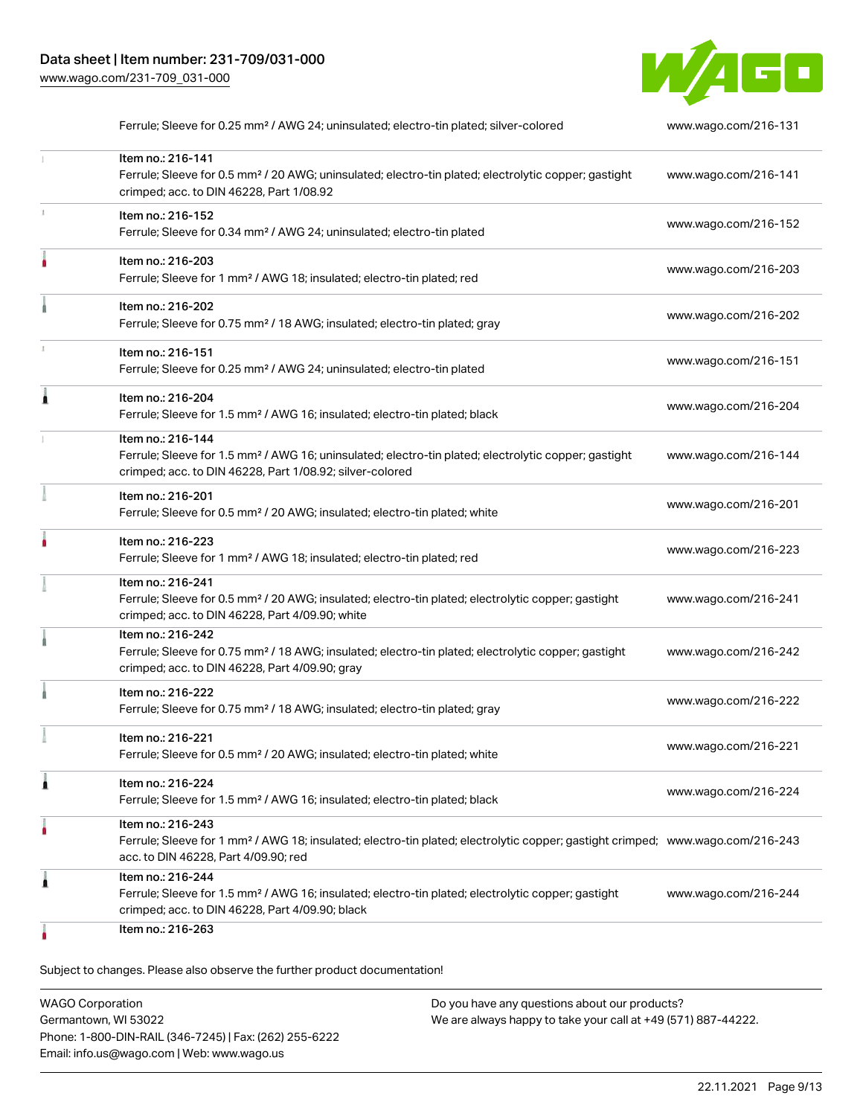

|   | Ferrule; Sleeve for 0.25 mm <sup>2</sup> / AWG 24; uninsulated; electro-tin plated; silver-colored                                                                                                      | www.wago.com/216-131 |
|---|---------------------------------------------------------------------------------------------------------------------------------------------------------------------------------------------------------|----------------------|
|   | Item no.: 216-141<br>Ferrule; Sleeve for 0.5 mm <sup>2</sup> / 20 AWG; uninsulated; electro-tin plated; electrolytic copper; gastight<br>crimped; acc. to DIN 46228, Part 1/08.92                       | www.wago.com/216-141 |
|   | Item no.: 216-152<br>Ferrule; Sleeve for 0.34 mm <sup>2</sup> / AWG 24; uninsulated; electro-tin plated                                                                                                 | www.wago.com/216-152 |
|   | Item no.: 216-203<br>Ferrule; Sleeve for 1 mm <sup>2</sup> / AWG 18; insulated; electro-tin plated; red                                                                                                 | www.wago.com/216-203 |
|   | Item no.: 216-202<br>Ferrule; Sleeve for 0.75 mm <sup>2</sup> / 18 AWG; insulated; electro-tin plated; gray                                                                                             | www.wago.com/216-202 |
|   | Item no.: 216-151<br>Ferrule; Sleeve for 0.25 mm <sup>2</sup> / AWG 24; uninsulated; electro-tin plated                                                                                                 | www.wago.com/216-151 |
|   | Item no.: 216-204<br>Ferrule; Sleeve for 1.5 mm <sup>2</sup> / AWG 16; insulated; electro-tin plated; black                                                                                             | www.wago.com/216-204 |
|   | Item no.: 216-144<br>Ferrule; Sleeve for 1.5 mm <sup>2</sup> / AWG 16; uninsulated; electro-tin plated; electrolytic copper; gastight<br>crimped; acc. to DIN 46228, Part 1/08.92; silver-colored       | www.wago.com/216-144 |
|   | Item no.: 216-201<br>Ferrule; Sleeve for 0.5 mm <sup>2</sup> / 20 AWG; insulated; electro-tin plated; white                                                                                             | www.wago.com/216-201 |
|   | Item no.: 216-223<br>Ferrule; Sleeve for 1 mm <sup>2</sup> / AWG 18; insulated; electro-tin plated; red                                                                                                 | www.wago.com/216-223 |
|   | Item no.: 216-241<br>Ferrule; Sleeve for 0.5 mm <sup>2</sup> / 20 AWG; insulated; electro-tin plated; electrolytic copper; gastight<br>crimped; acc. to DIN 46228, Part 4/09.90; white                  | www.wago.com/216-241 |
|   | Item no.: 216-242<br>Ferrule; Sleeve for 0.75 mm <sup>2</sup> / 18 AWG; insulated; electro-tin plated; electrolytic copper; gastight<br>crimped; acc. to DIN 46228, Part 4/09.90; gray                  | www.wago.com/216-242 |
|   | Item no.: 216-222<br>Ferrule; Sleeve for 0.75 mm <sup>2</sup> / 18 AWG; insulated; electro-tin plated; gray                                                                                             | www.wago.com/216-222 |
|   | Item no.: 216-221<br>Ferrule; Sleeve for 0.5 mm <sup>2</sup> / 20 AWG; insulated; electro-tin plated; white                                                                                             | www.wago.com/216-221 |
| 1 | Item no.: 216-224<br>Ferrule; Sleeve for 1.5 mm <sup>2</sup> / AWG 16; insulated; electro-tin plated; black                                                                                             | www.wago.com/216-224 |
|   | Item no.: 216-243<br>Ferrule; Sleeve for 1 mm <sup>2</sup> / AWG 18; insulated; electro-tin plated; electrolytic copper; gastight crimped; www.wago.com/216-243<br>acc. to DIN 46228, Part 4/09.90; red |                      |
| 1 | Item no.: 216-244<br>Ferrule; Sleeve for 1.5 mm <sup>2</sup> / AWG 16; insulated; electro-tin plated; electrolytic copper; gastight<br>crimped; acc. to DIN 46228, Part 4/09.90; black                  | www.wago.com/216-244 |
|   | Item no.: 216-263                                                                                                                                                                                       |                      |

| <b>WAGO Corporation</b>                                | Do you have any questions about our products?                 |
|--------------------------------------------------------|---------------------------------------------------------------|
| Germantown, WI 53022                                   | We are always happy to take your call at +49 (571) 887-44222. |
| Phone: 1-800-DIN-RAIL (346-7245)   Fax: (262) 255-6222 |                                                               |
| Email: info.us@wago.com   Web: www.wago.us             |                                                               |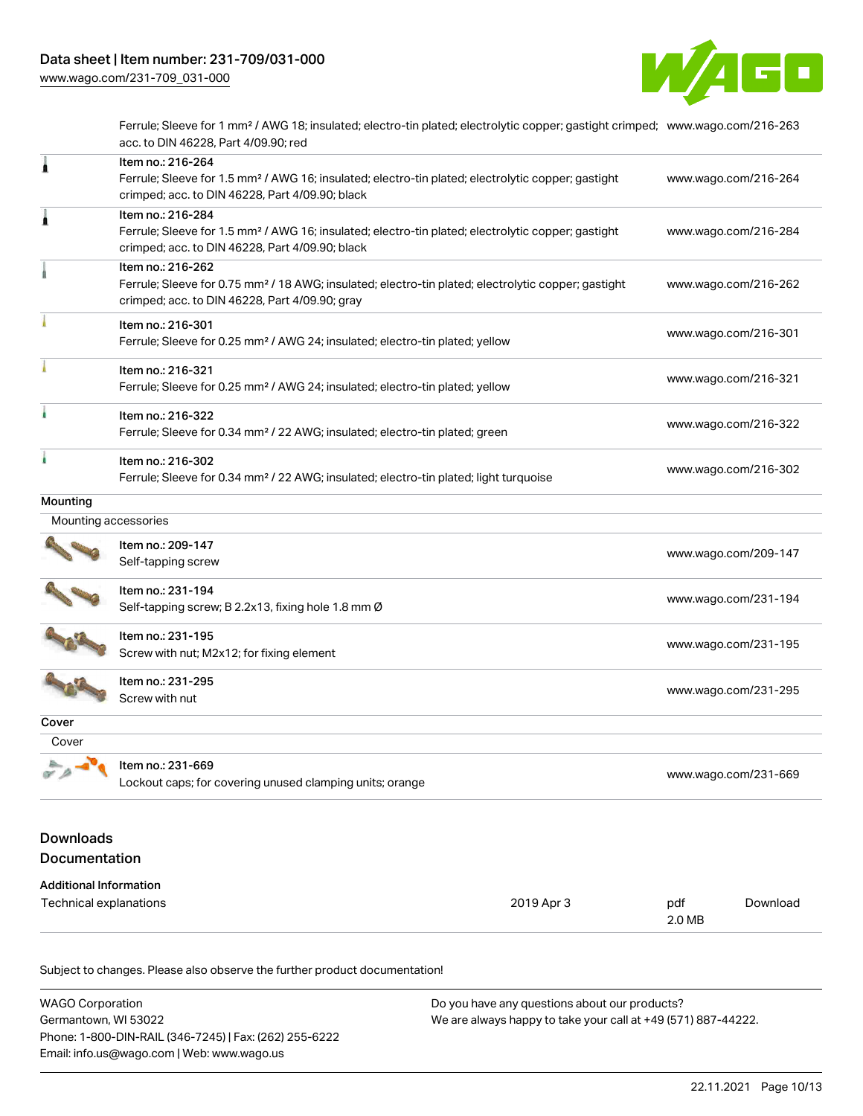

Ferrule; Sleeve for 1 mm² / AWG 18; insulated; electro-tin plated; electrolytic copper; gastight crimped; [www.wago.com/216-263](http://www.wago.com/216-263) acc. to DIN 46228, Part 4/09.90; red

| 1                                                       | Item no.: 216-264<br>Ferrule; Sleeve for 1.5 mm <sup>2</sup> / AWG 16; insulated; electro-tin plated; electrolytic copper; gastight<br>crimped; acc. to DIN 46228, Part 4/09.90; black |            | www.wago.com/216-264 |                      |  |
|---------------------------------------------------------|----------------------------------------------------------------------------------------------------------------------------------------------------------------------------------------|------------|----------------------|----------------------|--|
| Â                                                       | Item no.: 216-284<br>Ferrule; Sleeve for 1.5 mm <sup>2</sup> / AWG 16; insulated; electro-tin plated; electrolytic copper; gastight<br>crimped; acc. to DIN 46228, Part 4/09.90; black |            | www.wago.com/216-284 |                      |  |
|                                                         | Item no.: 216-262<br>Ferrule; Sleeve for 0.75 mm <sup>2</sup> / 18 AWG; insulated; electro-tin plated; electrolytic copper; gastight<br>crimped; acc. to DIN 46228, Part 4/09.90; gray |            | www.wago.com/216-262 |                      |  |
|                                                         | Item no.: 216-301<br>Ferrule; Sleeve for 0.25 mm <sup>2</sup> / AWG 24; insulated; electro-tin plated; yellow                                                                          |            |                      | www.wago.com/216-301 |  |
|                                                         | Item no.: 216-321<br>Ferrule; Sleeve for 0.25 mm <sup>2</sup> / AWG 24; insulated; electro-tin plated; yellow                                                                          |            | www.wago.com/216-321 |                      |  |
|                                                         | Item no.: 216-322<br>Ferrule; Sleeve for 0.34 mm <sup>2</sup> / 22 AWG; insulated; electro-tin plated; green                                                                           |            |                      | www.wago.com/216-322 |  |
| i.                                                      | Item no.: 216-302<br>Ferrule; Sleeve for 0.34 mm <sup>2</sup> / 22 AWG; insulated; electro-tin plated; light turquoise                                                                 |            | www.wago.com/216-302 |                      |  |
| Mounting                                                |                                                                                                                                                                                        |            |                      |                      |  |
| Mounting accessories                                    |                                                                                                                                                                                        |            |                      |                      |  |
|                                                         | Item no.: 209-147<br>Self-tapping screw                                                                                                                                                |            | www.wago.com/209-147 |                      |  |
|                                                         | Item no.: 231-194<br>Self-tapping screw; B 2.2x13, fixing hole 1.8 mm Ø                                                                                                                |            |                      | www.wago.com/231-194 |  |
|                                                         | Item no.: 231-195<br>Screw with nut; M2x12; for fixing element                                                                                                                         |            |                      | www.wago.com/231-195 |  |
|                                                         | Item no.: 231-295<br>Screw with nut                                                                                                                                                    |            |                      | www.wago.com/231-295 |  |
| Cover                                                   |                                                                                                                                                                                        |            |                      |                      |  |
| Cover                                                   |                                                                                                                                                                                        |            |                      |                      |  |
|                                                         | Item no.: 231-669<br>Lockout caps; for covering unused clamping units; orange                                                                                                          |            |                      | www.wago.com/231-669 |  |
| <b>Downloads</b><br>Documentation                       |                                                                                                                                                                                        |            |                      |                      |  |
| <b>Additional Information</b><br>Technical explanations |                                                                                                                                                                                        | 2019 Apr 3 | pdf<br>2.0 MB        | Download             |  |

| WAGO Corporation                                       | Do you have any questions about our products?                 |
|--------------------------------------------------------|---------------------------------------------------------------|
| Germantown. WI 53022                                   | We are always happy to take your call at +49 (571) 887-44222. |
| Phone: 1-800-DIN-RAIL (346-7245)   Fax: (262) 255-6222 |                                                               |
| Email: info.us@wago.com   Web: www.wago.us             |                                                               |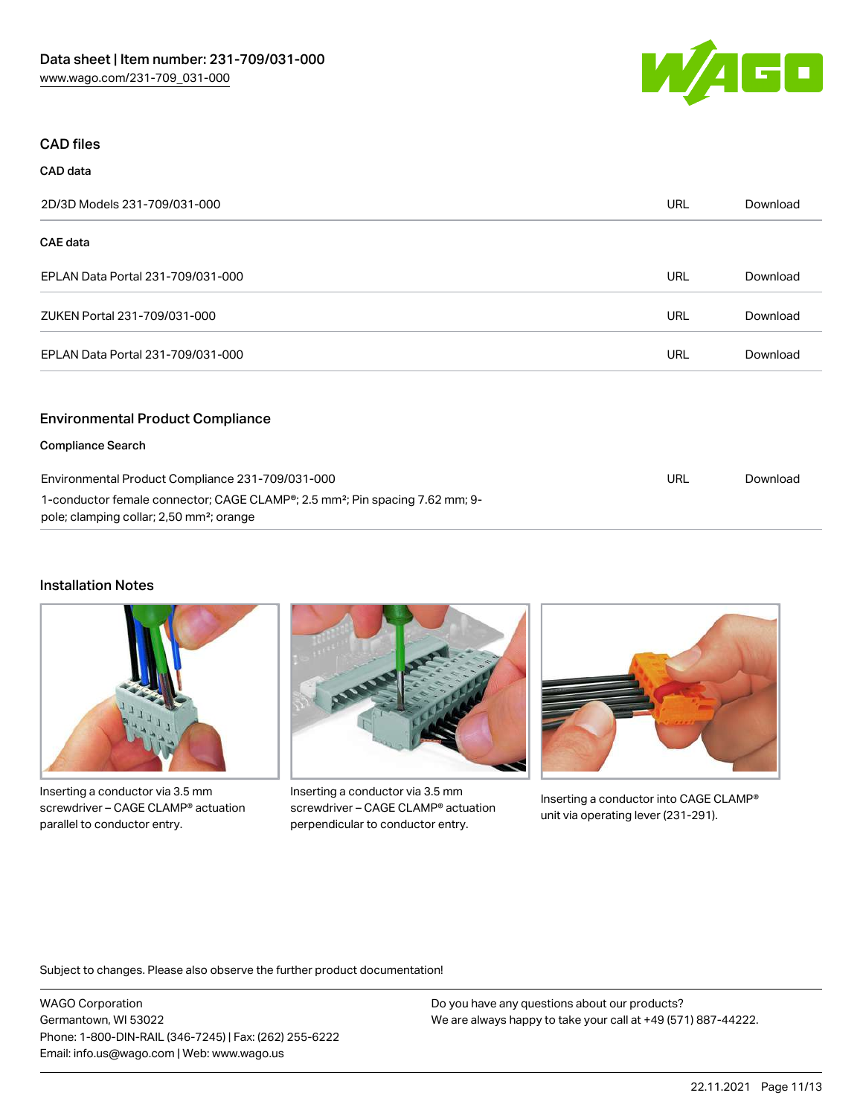

## CAD files

| CAD data                                                                                              |            |          |
|-------------------------------------------------------------------------------------------------------|------------|----------|
| 2D/3D Models 231-709/031-000                                                                          | <b>URL</b> | Download |
| CAE data                                                                                              |            |          |
| EPLAN Data Portal 231-709/031-000                                                                     | <b>URL</b> | Download |
| ZUKEN Portal 231-709/031-000                                                                          | <b>URL</b> | Download |
| EPLAN Data Portal 231-709/031-000                                                                     | <b>URL</b> | Download |
| <b>Environmental Product Compliance</b>                                                               |            |          |
| <b>Compliance Search</b>                                                                              |            |          |
| Environmental Product Compliance 231-709/031-000                                                      | <b>URL</b> | Download |
| 1-conductor female connector; CAGE CLAMP <sup>®</sup> ; 2.5 mm <sup>2</sup> ; Pin spacing 7.62 mm; 9- |            |          |

pole; clamping collar; 2,50 mm²; orange

## Installation Notes



Inserting a conductor via 3.5 mm screwdriver – CAGE CLAMP® actuation parallel to conductor entry.



Inserting a conductor via 3.5 mm screwdriver – CAGE CLAMP® actuation perpendicular to conductor entry.



Inserting a conductor into CAGE CLAMP® unit via operating lever (231-291).

Subject to changes. Please also observe the further product documentation!

WAGO Corporation Germantown, WI 53022 Phone: 1-800-DIN-RAIL (346-7245) | Fax: (262) 255-6222 Email: info.us@wago.com | Web: www.wago.us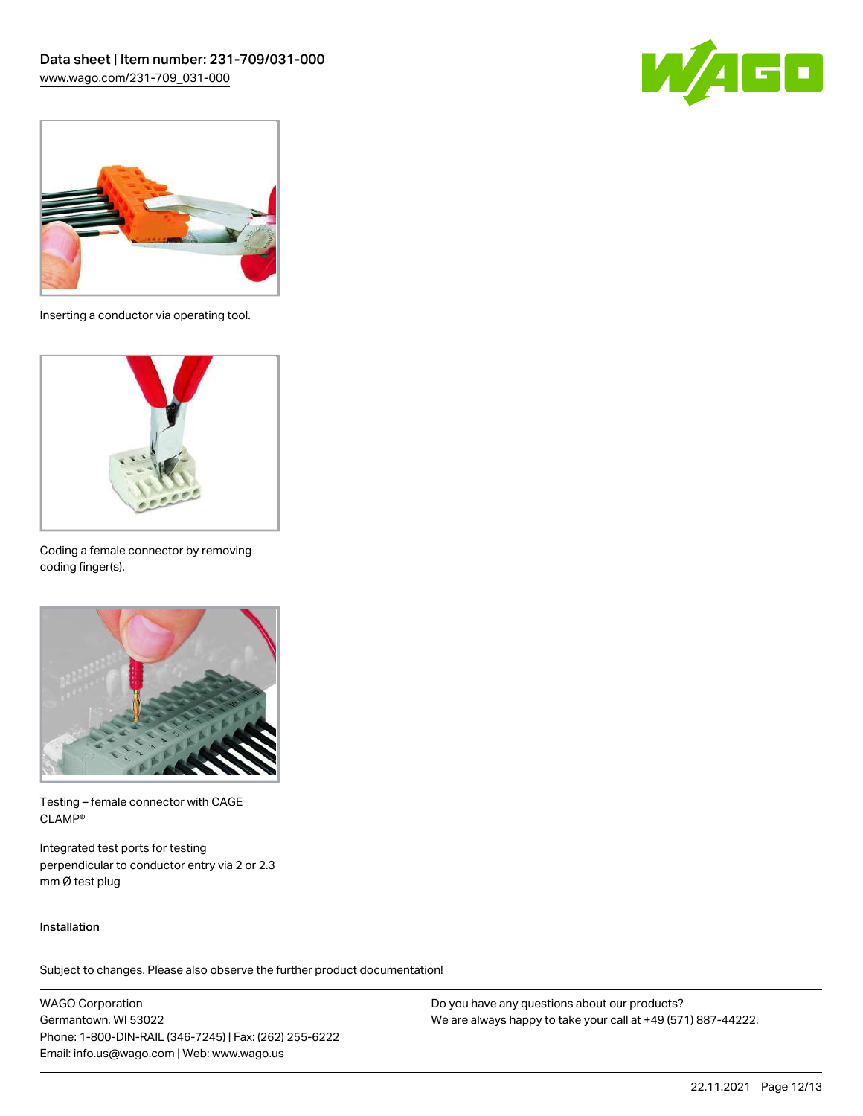



Inserting a conductor via operating tool.



Coding a female connector by removing coding finger(s).



Testing – female connector with CAGE CLAMP®

Integrated test ports for testing perpendicular to conductor entry via 2 or 2.3 mm Ø test plug

### Installation

Subject to changes. Please also observe the further product documentation!

WAGO Corporation Germantown, WI 53022 Phone: 1-800-DIN-RAIL (346-7245) | Fax: (262) 255-6222 Email: info.us@wago.com | Web: www.wago.us